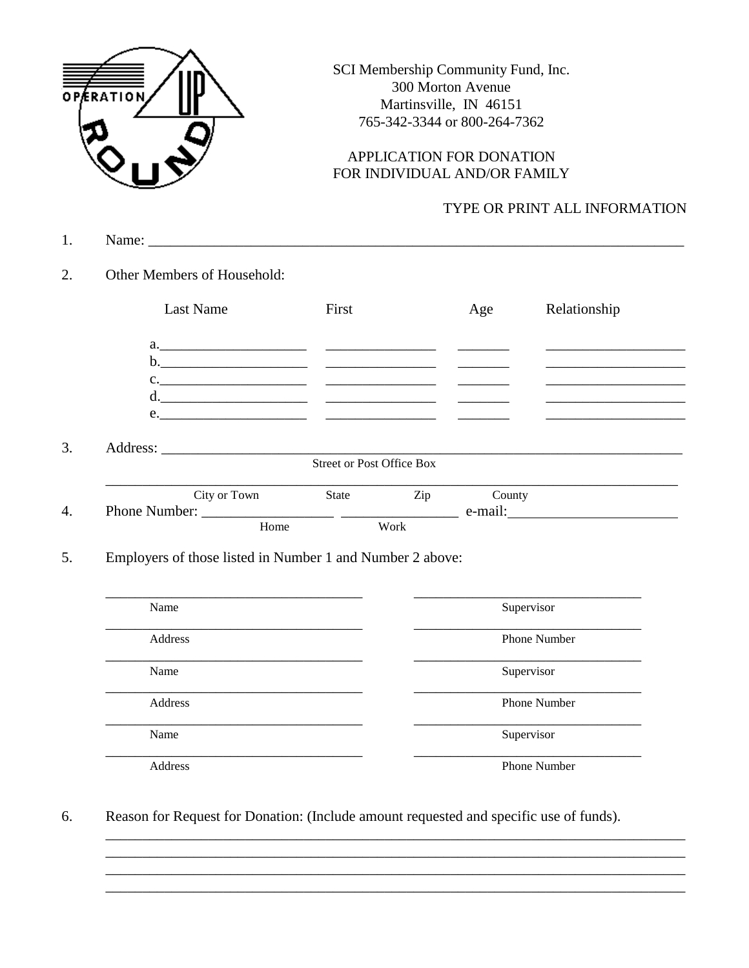

SCI Membership Community Fund, Inc. 300 Morton Avenue Martinsville, IN 46151 765-342-3344 or 800-264-7362

## APPLICATION FOR DONATION FOR INDIVIDUAL AND/OR FAMILY

## TYPE OR PRINT ALL INFORMATION

- $1.$
- $2.$ Other Members of Household:

| Last Name    | First                            |     | Age                        | Relationship |
|--------------|----------------------------------|-----|----------------------------|--------------|
|              |                                  |     |                            |              |
|              |                                  |     |                            |              |
|              |                                  |     |                            |              |
|              |                                  |     |                            |              |
|              |                                  |     |                            |              |
|              |                                  |     |                            |              |
|              |                                  |     |                            |              |
|              | <b>Street or Post Office Box</b> |     |                            |              |
| City or Town | State                            | Zip | County                     |              |
|              |                                  |     | $e$ -mail: $\qquad \qquad$ |              |

| Name    | Supervisor          |
|---------|---------------------|
| Address | <b>Phone Number</b> |
| Name    | Supervisor          |
| Address | <b>Phone Number</b> |
| Name    | Supervisor          |
| Address | <b>Phone Number</b> |

Reason for Request for Donation: (Include amount requested and specific use of funds). 6.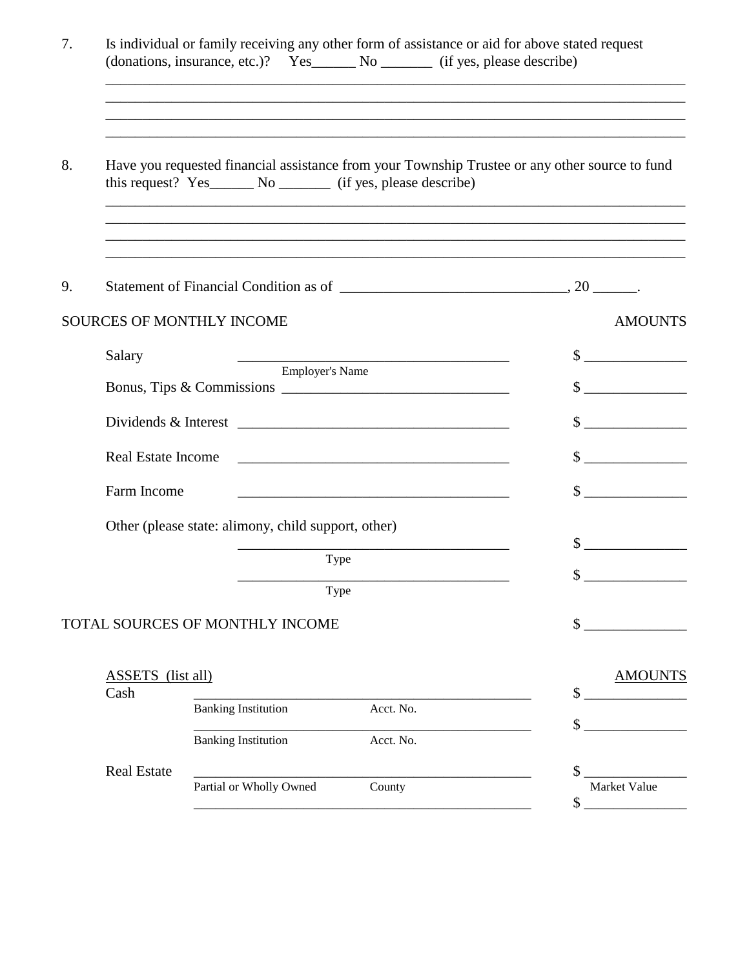| 7. |                                  | Is individual or family receiving any other form of assistance or aid for above stated request                                                                        |                                                                                                                      |                                                             |                             |
|----|----------------------------------|-----------------------------------------------------------------------------------------------------------------------------------------------------------------------|----------------------------------------------------------------------------------------------------------------------|-------------------------------------------------------------|-----------------------------|
| 8. |                                  | Have you requested financial assistance from your Township Trustee or any other source to fund                                                                        |                                                                                                                      | <u> 1989 - Johann Stoff, amerikansk politiker (d. 1989)</u> |                             |
| 9. |                                  | ,我们也不能在这里的人,我们也不能在这里的人,我们也不能在这里的人,我们也不能在这里的人,我们也不能在这里的人,我们也不能在这里的人,我们也不能在这里的人,我们也<br>,我们也不能在这里的,我们也不能在这里的时候,我们也不能在这里的时候,我们也不能会在这里的时候,我们也不能会在这里的时候,我们也不能会在这里的时候,我们也不能会 |                                                                                                                      |                                                             |                             |
|    |                                  | <b>SOURCES OF MONTHLY INCOME</b>                                                                                                                                      |                                                                                                                      |                                                             | <b>AMOUNTS</b>              |
|    | Salary                           |                                                                                                                                                                       | the control of the control of the control of the control of the control of                                           |                                                             | $\sim$                      |
|    |                                  | Employer's Name                                                                                                                                                       |                                                                                                                      |                                                             | $\frac{\text{S}}{\text{S}}$ |
|    |                                  |                                                                                                                                                                       |                                                                                                                      |                                                             | $\sim$                      |
|    | <b>Real Estate Income</b>        |                                                                                                                                                                       |                                                                                                                      |                                                             | $\sim$ $\sim$               |
|    | Farm Income                      |                                                                                                                                                                       | <u> 1989 - Johann Barbara, martxa alemaniar argumento estas políticas en la contrada de la contrada de la contra</u> |                                                             | $\sim$ $\sim$               |
|    |                                  | Other (please state: alimony, child support, other)                                                                                                                   |                                                                                                                      |                                                             |                             |
|    |                                  |                                                                                                                                                                       | Type                                                                                                                 |                                                             | $\sim$                      |
|    |                                  |                                                                                                                                                                       | Type                                                                                                                 |                                                             | $\sim$                      |
|    |                                  | TOTAL SOURCES OF MONTHLY INCOME                                                                                                                                       |                                                                                                                      |                                                             |                             |
|    | <b>ASSETS</b> (list all)<br>Cash |                                                                                                                                                                       |                                                                                                                      |                                                             | <b>AMOUNTS</b><br>\$        |
|    |                                  | <b>Banking Institution</b>                                                                                                                                            | Acct. No.                                                                                                            |                                                             |                             |
|    |                                  | <b>Banking Institution</b>                                                                                                                                            | Acct. No.                                                                                                            |                                                             |                             |
|    | <b>Real Estate</b>               | Partial or Wholly Owned                                                                                                                                               | County                                                                                                               |                                                             | Market Value<br>\$          |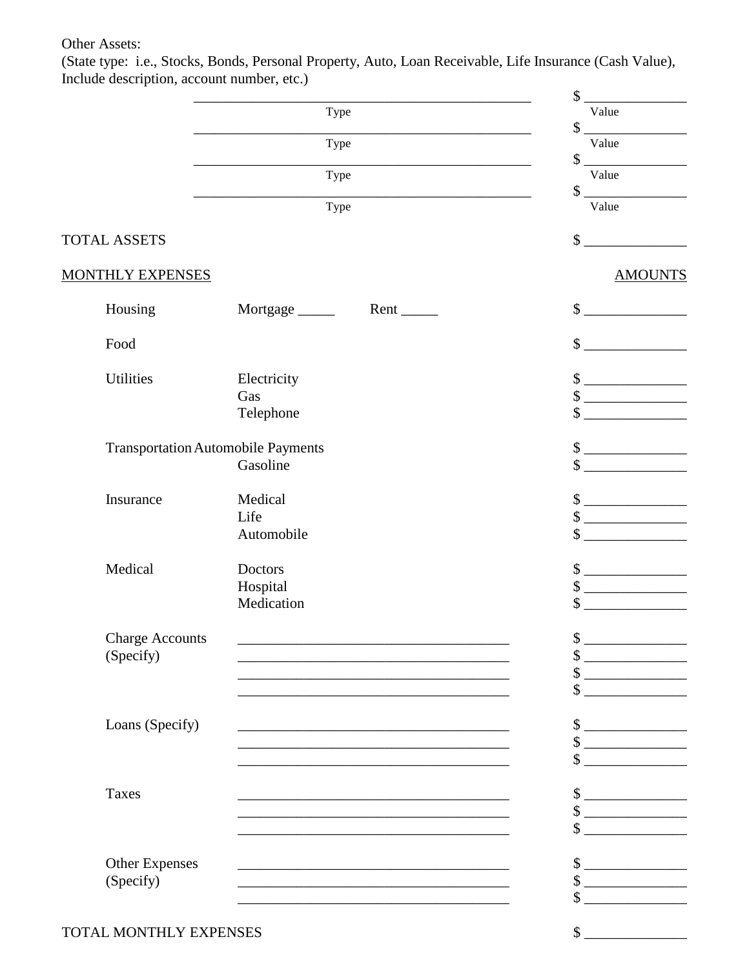## Other Assets:

(State type: i.e., Stocks, Bonds, Personal Property, Auto, Loan Receivable, Life Insurance (Cash Value), Include description, account number, etc.)

|                                           |                 |                                                                                                                                                                                                                               | \$                                                                                                                                                                                                                                                                                                                                                     |
|-------------------------------------------|-----------------|-------------------------------------------------------------------------------------------------------------------------------------------------------------------------------------------------------------------------------|--------------------------------------------------------------------------------------------------------------------------------------------------------------------------------------------------------------------------------------------------------------------------------------------------------------------------------------------------------|
|                                           |                 | Type                                                                                                                                                                                                                          | Value                                                                                                                                                                                                                                                                                                                                                  |
|                                           |                 | Type                                                                                                                                                                                                                          | $\qquad \qquad \bullet$<br>Value                                                                                                                                                                                                                                                                                                                       |
|                                           |                 | Type                                                                                                                                                                                                                          | $\begin{picture}(20,20) \put(0,0){\line(1,0){100}} \put(15,0){\line(1,0){100}} \put(15,0){\line(1,0){100}} \put(15,0){\line(1,0){100}} \put(15,0){\line(1,0){100}} \put(15,0){\line(1,0){100}} \put(15,0){\line(1,0){100}} \put(15,0){\line(1,0){100}} \put(15,0){\line(1,0){100}} \put(15,0){\line(1,0){100}} \put(15,0){\line(1,0){100}} \$<br>Value |
|                                           |                 | Type                                                                                                                                                                                                                          | $\big\ $<br>Value                                                                                                                                                                                                                                                                                                                                      |
| <b>TOTAL ASSETS</b>                       |                 |                                                                                                                                                                                                                               | \$                                                                                                                                                                                                                                                                                                                                                     |
| <b>MONTHLY EXPENSES</b>                   |                 |                                                                                                                                                                                                                               | <b>AMOUNTS</b>                                                                                                                                                                                                                                                                                                                                         |
| Housing                                   | Mortgage ______ | $Rent$ <sub>_____</sub>                                                                                                                                                                                                       | $\sim$                                                                                                                                                                                                                                                                                                                                                 |
|                                           |                 |                                                                                                                                                                                                                               | $\mathbb{S}$                                                                                                                                                                                                                                                                                                                                           |
| Food                                      |                 |                                                                                                                                                                                                                               |                                                                                                                                                                                                                                                                                                                                                        |
| Utilities                                 | Electricity     |                                                                                                                                                                                                                               | $\qquad \qquad \bullet$                                                                                                                                                                                                                                                                                                                                |
|                                           | Gas             |                                                                                                                                                                                                                               | $\begin{tabular}{ c c c c } \hline $S$ & \quad \quad & \quad \quad & \quad \quad \\ \hline \end{tabular}$                                                                                                                                                                                                                                              |
|                                           | Telephone       |                                                                                                                                                                                                                               | \$                                                                                                                                                                                                                                                                                                                                                     |
| <b>Transportation Automobile Payments</b> |                 |                                                                                                                                                                                                                               | $\frac{\text{S}}{\text{S}}$                                                                                                                                                                                                                                                                                                                            |
|                                           | Gasoline        |                                                                                                                                                                                                                               | $\sim$                                                                                                                                                                                                                                                                                                                                                 |
| Insurance                                 | Medical         |                                                                                                                                                                                                                               | $\frac{\text{S}}{\text{S}}$                                                                                                                                                                                                                                                                                                                            |
|                                           | Life            |                                                                                                                                                                                                                               | $\sim$                                                                                                                                                                                                                                                                                                                                                 |
|                                           | Automobile      |                                                                                                                                                                                                                               | $\sim$ $\sim$                                                                                                                                                                                                                                                                                                                                          |
| Medical                                   | <b>Doctors</b>  |                                                                                                                                                                                                                               | $\frac{\text{S}}{\text{S}}$                                                                                                                                                                                                                                                                                                                            |
|                                           | Hospital        |                                                                                                                                                                                                                               | $\frac{\text{S}}{\text{S}}$                                                                                                                                                                                                                                                                                                                            |
|                                           | Medication      |                                                                                                                                                                                                                               | $\mathcal{S}$                                                                                                                                                                                                                                                                                                                                          |
| <b>Charge Accounts</b>                    |                 |                                                                                                                                                                                                                               | <b>Contract Contract Contract</b>                                                                                                                                                                                                                                                                                                                      |
| (Specify)                                 |                 |                                                                                                                                                                                                                               | <u> El segundo de la contenentación de la contenentación de la contenentación de la contenentación de la contene</u>                                                                                                                                                                                                                                   |
|                                           |                 |                                                                                                                                                                                                                               | $\sim$                                                                                                                                                                                                                                                                                                                                                 |
|                                           |                 |                                                                                                                                                                                                                               |                                                                                                                                                                                                                                                                                                                                                        |
| Loans (Specify)                           |                 | <u> 1989 - Johann Stein, mars an deutscher Stein und der Stein und der Stein und der Stein und der Stein und der</u>                                                                                                          | $\frac{1}{2}$                                                                                                                                                                                                                                                                                                                                          |
|                                           |                 |                                                                                                                                                                                                                               | $\qquad \qquad \text{\normalsize $s$} \underline{\qquad \qquad \qquad }$                                                                                                                                                                                                                                                                               |
|                                           |                 |                                                                                                                                                                                                                               | $\frac{1}{2}$                                                                                                                                                                                                                                                                                                                                          |
| <b>Taxes</b>                              |                 |                                                                                                                                                                                                                               | $\begin{array}{c c} \hline \end{array}$                                                                                                                                                                                                                                                                                                                |
|                                           |                 | the control of the control of the control of the control of the control of the control of the control of the control of the control of the control of the control of the control of the control of the control of the control | $\frac{\text{S}}{\text{S}}$                                                                                                                                                                                                                                                                                                                            |
|                                           |                 |                                                                                                                                                                                                                               | <u> 1989 - Jan Jawa</u>                                                                                                                                                                                                                                                                                                                                |
| <b>Other Expenses</b>                     |                 |                                                                                                                                                                                                                               | $\frac{\text{S}}{\text{S}}$                                                                                                                                                                                                                                                                                                                            |
| (Specify)                                 |                 |                                                                                                                                                                                                                               | $\frac{\text{S}}{\text{S}}$                                                                                                                                                                                                                                                                                                                            |
|                                           |                 |                                                                                                                                                                                                                               |                                                                                                                                                                                                                                                                                                                                                        |
| TOTAL MONTHLY EXPENSES                    |                 |                                                                                                                                                                                                                               | $\sim$                                                                                                                                                                                                                                                                                                                                                 |